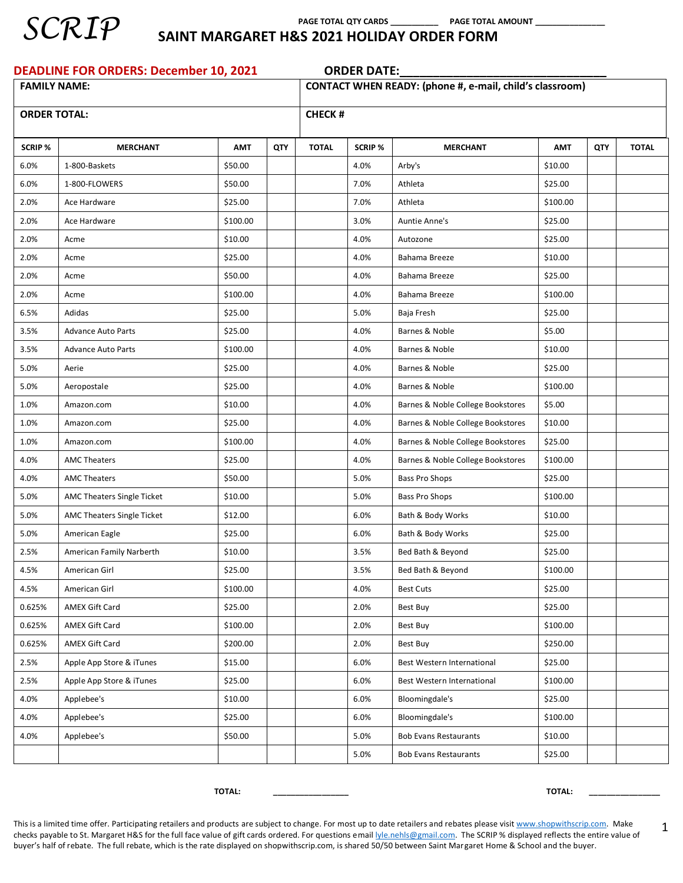

 **PAGE TOTAL QTY CARDS \_\_\_\_\_\_\_\_\_\_\_ PAGE TOTAL AMOUNT \_\_\_\_\_\_\_\_\_\_\_\_\_\_\_\_**

#### **SCRIP** SAINT MARGARET H&S 2021 HOLIDAY ORDER FORM

| <b>DEADLINE FOR ORDERS: December 10, 2021</b> |                            |            |            | <b>ORDER DATE:</b>                                       |                |                                   |            |     |              |  |  |  |
|-----------------------------------------------|----------------------------|------------|------------|----------------------------------------------------------|----------------|-----------------------------------|------------|-----|--------------|--|--|--|
| <b>FAMILY NAME:</b>                           |                            |            |            | CONTACT WHEN READY: (phone #, e-mail, child's classroom) |                |                                   |            |     |              |  |  |  |
| <b>ORDER TOTAL:</b>                           |                            |            |            | <b>CHECK#</b>                                            |                |                                   |            |     |              |  |  |  |
|                                               |                            |            |            |                                                          |                |                                   |            |     |              |  |  |  |
| <b>SCRIP %</b>                                | <b>MERCHANT</b>            | <b>AMT</b> | <b>QTY</b> | <b>TOTAL</b>                                             | <b>SCRIP %</b> | <b>MERCHANT</b>                   | <b>AMT</b> | QTY | <b>TOTAL</b> |  |  |  |
| 6.0%                                          | 1-800-Baskets              | \$50.00    |            |                                                          | 4.0%           | Arby's                            | \$10.00    |     |              |  |  |  |
| 6.0%                                          | 1-800-FLOWERS              | \$50.00    |            |                                                          | 7.0%           | Athleta                           | \$25.00    |     |              |  |  |  |
| 2.0%                                          | Ace Hardware               | \$25.00    |            |                                                          | 7.0%           | Athleta                           | \$100.00   |     |              |  |  |  |
| 2.0%                                          | Ace Hardware               | \$100.00   |            |                                                          | 3.0%           | Auntie Anne's                     | \$25.00    |     |              |  |  |  |
| 2.0%                                          | Acme                       | \$10.00    |            |                                                          | 4.0%           | Autozone                          | \$25.00    |     |              |  |  |  |
| 2.0%                                          | Acme                       | \$25.00    |            |                                                          | 4.0%           | Bahama Breeze                     | \$10.00    |     |              |  |  |  |
| 2.0%                                          | Acme                       | \$50.00    |            |                                                          | 4.0%           | Bahama Breeze                     | \$25.00    |     |              |  |  |  |
| 2.0%                                          | Acme                       | \$100.00   |            |                                                          | 4.0%           | Bahama Breeze                     | \$100.00   |     |              |  |  |  |
| 6.5%                                          | Adidas                     | \$25.00    |            |                                                          | 5.0%           | Baja Fresh                        | \$25.00    |     |              |  |  |  |
| 3.5%                                          | <b>Advance Auto Parts</b>  | \$25.00    |            |                                                          | 4.0%           | Barnes & Noble                    | \$5.00     |     |              |  |  |  |
| 3.5%                                          | <b>Advance Auto Parts</b>  | \$100.00   |            |                                                          | 4.0%           | Barnes & Noble                    | \$10.00    |     |              |  |  |  |
| 5.0%                                          | Aerie                      | \$25.00    |            |                                                          | 4.0%           | Barnes & Noble                    | \$25.00    |     |              |  |  |  |
| 5.0%                                          | Aeropostale                | \$25.00    |            |                                                          | 4.0%           | Barnes & Noble                    | \$100.00   |     |              |  |  |  |
| 1.0%                                          | Amazon.com                 | \$10.00    |            |                                                          | 4.0%           | Barnes & Noble College Bookstores | \$5.00     |     |              |  |  |  |
| 1.0%                                          | Amazon.com                 | \$25.00    |            |                                                          | 4.0%           | Barnes & Noble College Bookstores | \$10.00    |     |              |  |  |  |
| 1.0%                                          | Amazon.com                 | \$100.00   |            |                                                          | 4.0%           | Barnes & Noble College Bookstores | \$25.00    |     |              |  |  |  |
| 4.0%                                          | <b>AMC Theaters</b>        | \$25.00    |            |                                                          | 4.0%           | Barnes & Noble College Bookstores | \$100.00   |     |              |  |  |  |
| 4.0%                                          | <b>AMC Theaters</b>        | \$50.00    |            |                                                          | 5.0%           | <b>Bass Pro Shops</b>             | \$25.00    |     |              |  |  |  |
| 5.0%                                          | AMC Theaters Single Ticket | \$10.00    |            |                                                          | 5.0%           | Bass Pro Shops                    | \$100.00   |     |              |  |  |  |
| 5.0%                                          | AMC Theaters Single Ticket | \$12.00    |            |                                                          | 6.0%           | Bath & Body Works                 | \$10.00    |     |              |  |  |  |
| 5.0%                                          | American Eagle             | \$25.00    |            |                                                          | 6.0%           | Bath & Body Works                 | \$25.00    |     |              |  |  |  |
| 2.5%                                          | American Family Narberth   | \$10.00    |            |                                                          | 3.5%           | Bed Bath & Beyond                 | \$25.00    |     |              |  |  |  |
| 4.5%                                          | American Girl              | \$25.00    |            |                                                          | 3.5%           | Bed Bath & Beyond                 | \$100.00   |     |              |  |  |  |
| 4.5%                                          | American Girl              | \$100.00   |            |                                                          | 4.0%           | <b>Best Cuts</b>                  | \$25.00    |     |              |  |  |  |
| 0.625%                                        | <b>AMEX Gift Card</b>      | \$25.00    |            |                                                          | 2.0%           | Best Buy                          | \$25.00    |     |              |  |  |  |
| 0.625%                                        | AMEX Gift Card             | \$100.00   |            |                                                          | 2.0%           | Best Buy                          | \$100.00   |     |              |  |  |  |
| 0.625%                                        | AMEX Gift Card             | \$200.00   |            |                                                          | 2.0%           | Best Buy                          | \$250.00   |     |              |  |  |  |
| 2.5%                                          | Apple App Store & iTunes   | \$15.00    |            |                                                          | 6.0%           | Best Western International        | \$25.00    |     |              |  |  |  |
| 2.5%                                          | Apple App Store & iTunes   | \$25.00    |            |                                                          | 6.0%           | Best Western International        | \$100.00   |     |              |  |  |  |
| 4.0%                                          | Applebee's                 | \$10.00    |            |                                                          | 6.0%           | Bloomingdale's                    | \$25.00    |     |              |  |  |  |
| 4.0%                                          | Applebee's                 | \$25.00    |            |                                                          | 6.0%           | Bloomingdale's                    | \$100.00   |     |              |  |  |  |
| 4.0%                                          | Applebee's                 | \$50.00    |            |                                                          | 5.0%           | <b>Bob Evans Restaurants</b>      | \$10.00    |     |              |  |  |  |
|                                               |                            |            |            |                                                          | 5.0%           | <b>Bob Evans Restaurants</b>      | \$25.00    |     |              |  |  |  |

**TOTAL: \_\_\_\_\_\_\_\_\_\_\_\_\_\_\_\_\_ TOTAL: \_\_\_\_\_\_\_\_\_\_\_\_\_\_\_\_**

1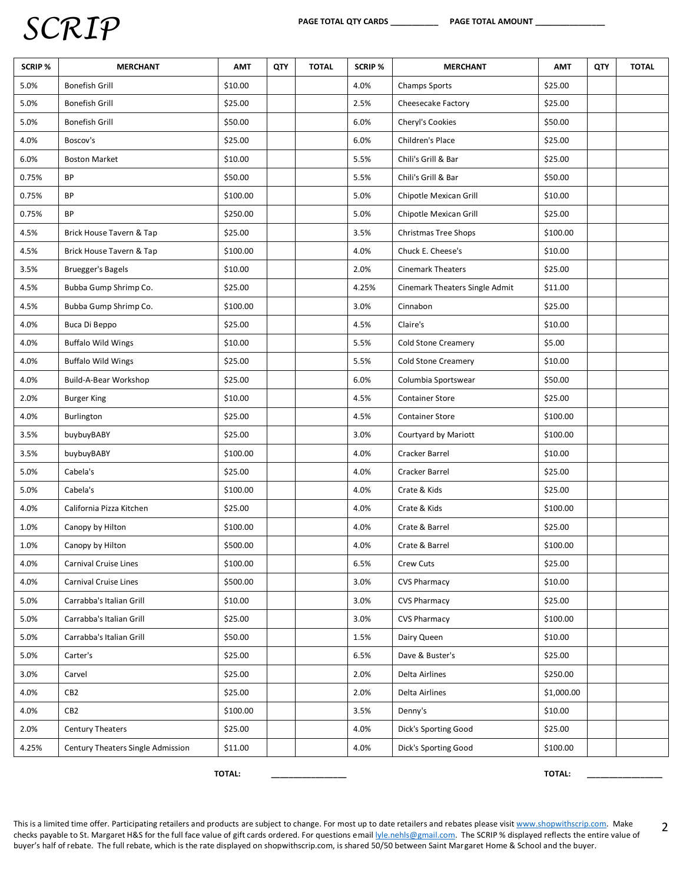| SCRIP % | <b>MERCHANT</b>                   | <b>AMT</b> | QTY | <b>TOTAL</b> | <b>SCRIP %</b> | <b>MERCHANT</b>                | <b>AMT</b> | QTY | <b>TOTAL</b> |
|---------|-----------------------------------|------------|-----|--------------|----------------|--------------------------------|------------|-----|--------------|
| 5.0%    | <b>Bonefish Grill</b>             | \$10.00    |     |              | 4.0%           | Champs Sports                  | \$25.00    |     |              |
| 5.0%    | <b>Bonefish Grill</b>             | \$25.00    |     |              | 2.5%           | Cheesecake Factory             | \$25.00    |     |              |
| 5.0%    | <b>Bonefish Grill</b>             | \$50.00    |     |              | 6.0%           | Cheryl's Cookies               | \$50.00    |     |              |
| 4.0%    | Boscov's                          | \$25.00    |     |              | 6.0%           | Children's Place               | \$25.00    |     |              |
| 6.0%    | <b>Boston Market</b>              | \$10.00    |     |              | 5.5%           | Chili's Grill & Bar            | \$25.00    |     |              |
| 0.75%   | BP                                | \$50.00    |     |              | 5.5%           | Chili's Grill & Bar            | \$50.00    |     |              |
| 0.75%   | BP                                | \$100.00   |     |              | 5.0%           | Chipotle Mexican Grill         | \$10.00    |     |              |
| 0.75%   | <b>BP</b>                         | \$250.00   |     |              | 5.0%           | Chipotle Mexican Grill         | \$25.00    |     |              |
| 4.5%    | Brick House Tavern & Tap          | \$25.00    |     |              | 3.5%           | Christmas Tree Shops           | \$100.00   |     |              |
| 4.5%    | Brick House Tavern & Tap          | \$100.00   |     |              | 4.0%           | Chuck E. Cheese's              | \$10.00    |     |              |
| 3.5%    | <b>Bruegger's Bagels</b>          | \$10.00    |     |              | 2.0%           | <b>Cinemark Theaters</b>       | \$25.00    |     |              |
| 4.5%    | Bubba Gump Shrimp Co.             | \$25.00    |     |              | 4.25%          | Cinemark Theaters Single Admit | \$11.00    |     |              |
| 4.5%    | Bubba Gump Shrimp Co.             | \$100.00   |     |              | 3.0%           | Cinnabon                       | \$25.00    |     |              |
| 4.0%    | Buca Di Beppo                     | \$25.00    |     |              | 4.5%           | Claire's                       | \$10.00    |     |              |
| 4.0%    | <b>Buffalo Wild Wings</b>         | \$10.00    |     |              | 5.5%           | <b>Cold Stone Creamery</b>     | \$5.00     |     |              |
| 4.0%    | <b>Buffalo Wild Wings</b>         | \$25.00    |     |              | 5.5%           | <b>Cold Stone Creamery</b>     | \$10.00    |     |              |
| 4.0%    | Build-A-Bear Workshop             | \$25.00    |     |              | 6.0%           | Columbia Sportswear            | \$50.00    |     |              |
| 2.0%    | <b>Burger King</b>                | \$10.00    |     |              | 4.5%           | <b>Container Store</b>         | \$25.00    |     |              |
| 4.0%    | Burlington                        | \$25.00    |     |              | 4.5%           | <b>Container Store</b>         | \$100.00   |     |              |
| 3.5%    | buybuyBABY                        | \$25.00    |     |              | 3.0%           | Courtyard by Mariott           | \$100.00   |     |              |
| 3.5%    | buybuyBABY                        | \$100.00   |     |              | 4.0%           | Cracker Barrel                 | \$10.00    |     |              |
| 5.0%    | Cabela's                          | \$25.00    |     |              | 4.0%           | Cracker Barrel                 | \$25.00    |     |              |
| 5.0%    | Cabela's                          | \$100.00   |     |              | 4.0%           | Crate & Kids                   | \$25.00    |     |              |
| 4.0%    | California Pizza Kitchen          | \$25.00    |     |              | 4.0%           | Crate & Kids                   | \$100.00   |     |              |
| 1.0%    | Canopy by Hilton                  | \$100.00   |     |              | 4.0%           | Crate & Barrel                 | \$25.00    |     |              |
| 1.0%    | Canopy by Hilton                  | \$500.00   |     |              | 4.0%           | Crate & Barrel                 | \$100.00   |     |              |
| 4.0%    | <b>Carnival Cruise Lines</b>      | \$100.00   |     |              | 6.5%           | Crew Cuts                      | \$25.00    |     |              |
| 4.0%    | Carnival Cruise Lines             | \$500.00   |     |              | 3.0%           | <b>CVS Pharmacy</b>            | \$10.00    |     |              |
| 5.0%    | Carrabba's Italian Grill          | \$10.00    |     |              | 3.0%           | <b>CVS Pharmacy</b>            | \$25.00    |     |              |
| 5.0%    | Carrabba's Italian Grill          | \$25.00    |     |              | 3.0%           | <b>CVS Pharmacy</b>            | \$100.00   |     |              |
| 5.0%    | Carrabba's Italian Grill          | \$50.00    |     |              | 1.5%           | Dairy Queen                    | \$10.00    |     |              |
| 5.0%    | Carter's                          | \$25.00    |     |              | 6.5%           | Dave & Buster's                | \$25.00    |     |              |
| 3.0%    | Carvel                            | \$25.00    |     |              | 2.0%           | Delta Airlines                 | \$250.00   |     |              |
| 4.0%    | CB <sub>2</sub>                   | \$25.00    |     |              | 2.0%           | Delta Airlines                 | \$1,000.00 |     |              |
| 4.0%    | CB <sub>2</sub>                   | \$100.00   |     |              | 3.5%           | Denny's                        | \$10.00    |     |              |
| 2.0%    | Century Theaters                  | \$25.00    |     |              | 4.0%           | Dick's Sporting Good           | \$25.00    |     |              |
| 4.25%   | Century Theaters Single Admission | \$11.00    |     |              | 4.0%           | Dick's Sporting Good           | \$100.00   |     |              |

**TOTAL: \_\_\_\_\_\_\_\_\_\_\_\_\_\_\_\_\_ TOTAL: \_\_\_\_\_\_\_\_\_\_\_\_\_\_\_\_\_**

2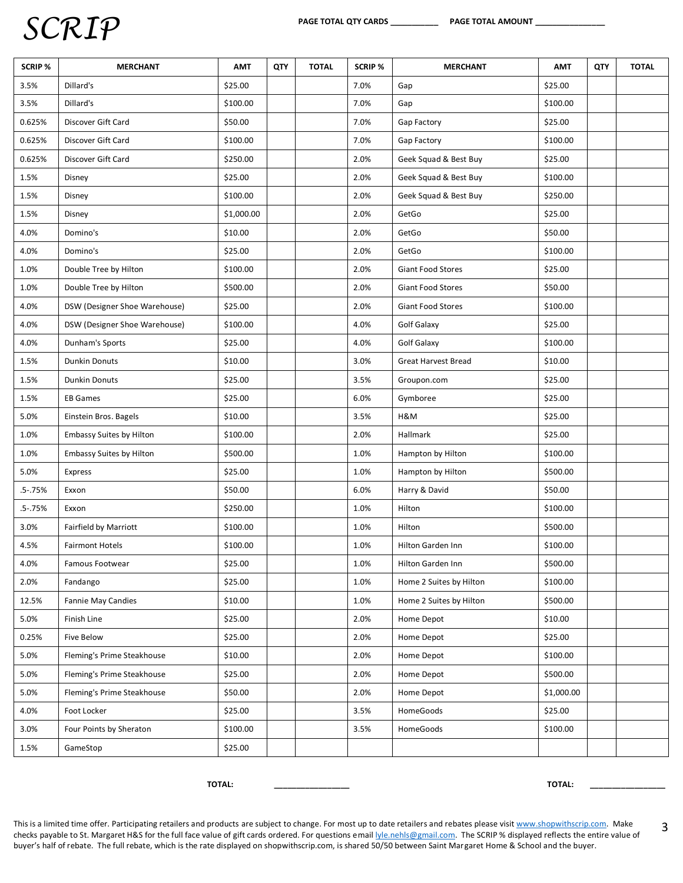| <b>SCRIP %</b> | <b>MERCHANT</b>                 | <b>AMT</b> | QTY | <b>TOTAL</b> | <b>SCRIP %</b> | <b>MERCHANT</b>            | <b>AMT</b> | QTY | <b>TOTAL</b> |
|----------------|---------------------------------|------------|-----|--------------|----------------|----------------------------|------------|-----|--------------|
| 3.5%           | Dillard's                       | \$25.00    |     |              | 7.0%           | Gap                        | \$25.00    |     |              |
| 3.5%           | Dillard's                       | \$100.00   |     |              | 7.0%           | Gap                        | \$100.00   |     |              |
| 0.625%         | Discover Gift Card              | \$50.00    |     |              | 7.0%           | Gap Factory                | \$25.00    |     |              |
| 0.625%         | Discover Gift Card              | \$100.00   |     |              | 7.0%           | Gap Factory                | \$100.00   |     |              |
| 0.625%         | Discover Gift Card              | \$250.00   |     |              | 2.0%           | Geek Squad & Best Buy      | \$25.00    |     |              |
| 1.5%           | Disney                          | \$25.00    |     |              | 2.0%           | Geek Squad & Best Buy      | \$100.00   |     |              |
| 1.5%           | Disney                          | \$100.00   |     |              | 2.0%           | Geek Squad & Best Buy      | \$250.00   |     |              |
| 1.5%           | Disney                          | \$1,000.00 |     |              | 2.0%           | GetGo                      | \$25.00    |     |              |
| 4.0%           | Domino's                        | \$10.00    |     |              | 2.0%           | GetGo                      | \$50.00    |     |              |
| 4.0%           | Domino's                        | \$25.00    |     |              | 2.0%           | GetGo                      | \$100.00   |     |              |
| 1.0%           | Double Tree by Hilton           | \$100.00   |     |              | 2.0%           | Giant Food Stores          | \$25.00    |     |              |
| 1.0%           | Double Tree by Hilton           | \$500.00   |     |              | 2.0%           | Giant Food Stores          | \$50.00    |     |              |
| 4.0%           | DSW (Designer Shoe Warehouse)   | \$25.00    |     |              | 2.0%           | Giant Food Stores          | \$100.00   |     |              |
| 4.0%           | DSW (Designer Shoe Warehouse)   | \$100.00   |     |              | 4.0%           | Golf Galaxy                | \$25.00    |     |              |
| 4.0%           | Dunham's Sports                 | \$25.00    |     |              | 4.0%           | Golf Galaxy                | \$100.00   |     |              |
| 1.5%           | <b>Dunkin Donuts</b>            | \$10.00    |     |              | 3.0%           | <b>Great Harvest Bread</b> | \$10.00    |     |              |
| 1.5%           | <b>Dunkin Donuts</b>            | \$25.00    |     |              | 3.5%           | Groupon.com                | \$25.00    |     |              |
| 1.5%           | <b>EB Games</b>                 | \$25.00    |     |              | 6.0%           | Gymboree                   | \$25.00    |     |              |
| 5.0%           | Einstein Bros. Bagels           | \$10.00    |     |              | 3.5%           | H&M                        | \$25.00    |     |              |
| 1.0%           | <b>Embassy Suites by Hilton</b> | \$100.00   |     |              | 2.0%           | Hallmark                   | \$25.00    |     |              |
| 1.0%           | Embassy Suites by Hilton        | \$500.00   |     |              | 1.0%           | Hampton by Hilton          | \$100.00   |     |              |
| 5.0%           | Express                         | \$25.00    |     |              | 1.0%           | Hampton by Hilton          | \$500.00   |     |              |
| $.5 - .75%$    | Exxon                           | \$50.00    |     |              | 6.0%           | Harry & David              | \$50.00    |     |              |
| $.5 - .75%$    | Exxon                           | \$250.00   |     |              | 1.0%           | Hilton                     | \$100.00   |     |              |
| 3.0%           | Fairfield by Marriott           | \$100.00   |     |              | 1.0%           | Hilton                     | \$500.00   |     |              |
| 4.5%           | <b>Fairmont Hotels</b>          | \$100.00   |     |              | 1.0%           | Hilton Garden Inn          | \$100.00   |     |              |
| 4.0%           | Famous Footwear                 | \$25.00    |     |              | 1.0%           | Hilton Garden Inn          | \$500.00   |     |              |
| 2.0%           | Fandango                        | \$25.00    |     |              | 1.0%           | Home 2 Suites by Hilton    | \$100.00   |     |              |
| 12.5%          | <b>Fannie May Candies</b>       | \$10.00    |     |              | 1.0%           | Home 2 Suites by Hilton    | \$500.00   |     |              |
| 5.0%           | Finish Line                     | \$25.00    |     |              | 2.0%           | Home Depot                 | \$10.00    |     |              |
| 0.25%          | Five Below                      | \$25.00    |     |              | 2.0%           | Home Depot                 | \$25.00    |     |              |
| 5.0%           | Fleming's Prime Steakhouse      | \$10.00    |     |              | 2.0%           | Home Depot                 | \$100.00   |     |              |
| 5.0%           | Fleming's Prime Steakhouse      | \$25.00    |     |              | 2.0%           | Home Depot                 | \$500.00   |     |              |
| 5.0%           | Fleming's Prime Steakhouse      | \$50.00    |     |              | 2.0%           | Home Depot                 | \$1,000.00 |     |              |
| 4.0%           | Foot Locker                     | \$25.00    |     |              | 3.5%           | HomeGoods                  | \$25.00    |     |              |
| 3.0%           | Four Points by Sheraton         | \$100.00   |     |              | 3.5%           | HomeGoods                  | \$100.00   |     |              |
| 1.5%           | GameStop                        | \$25.00    |     |              |                |                            |            |     |              |

 **TOTAL: \_\_\_\_\_\_\_\_\_\_\_\_\_\_\_\_\_ TOTAL: \_\_\_\_\_\_\_\_\_\_\_\_\_\_\_\_\_**

3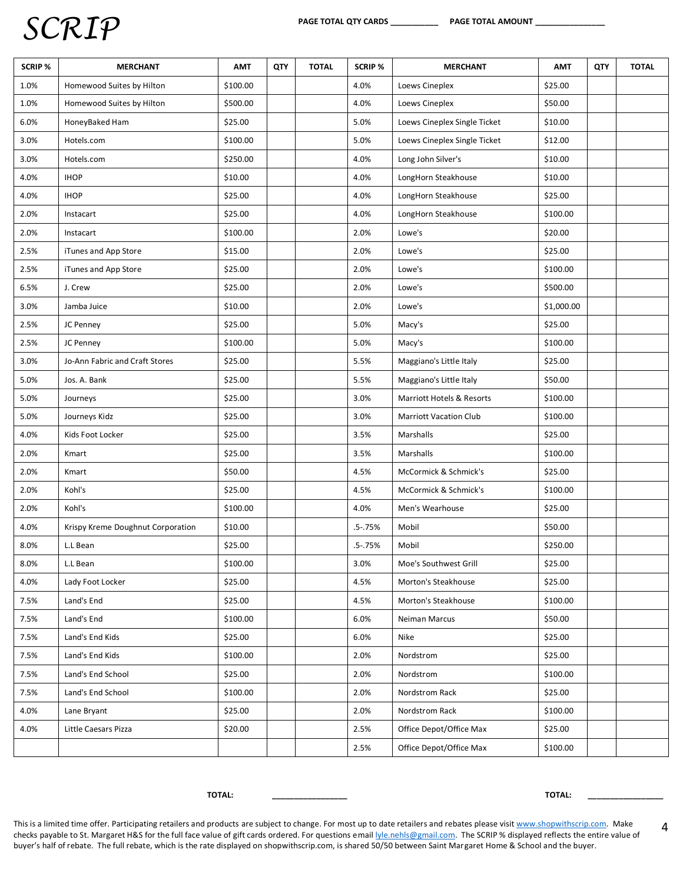| SCRIP % | <b>MERCHANT</b>                   | <b>AMT</b> | QTY | <b>TOTAL</b> | <b>SCRIP %</b> | <b>MERCHANT</b>               | <b>AMT</b> | QTY | <b>TOTAL</b> |
|---------|-----------------------------------|------------|-----|--------------|----------------|-------------------------------|------------|-----|--------------|
| 1.0%    | Homewood Suites by Hilton         | \$100.00   |     |              | 4.0%           | Loews Cineplex                | \$25.00    |     |              |
| 1.0%    | Homewood Suites by Hilton         | \$500.00   |     |              | 4.0%           | Loews Cineplex                | \$50.00    |     |              |
| 6.0%    | HoneyBaked Ham                    | \$25.00    |     |              | 5.0%           | Loews Cineplex Single Ticket  | \$10.00    |     |              |
| 3.0%    | Hotels.com                        | \$100.00   |     |              | 5.0%           | Loews Cineplex Single Ticket  | \$12.00    |     |              |
| 3.0%    | Hotels.com                        | \$250.00   |     |              | 4.0%           | Long John Silver's            | \$10.00    |     |              |
| 4.0%    | <b>IHOP</b>                       | \$10.00    |     |              | 4.0%           | LongHorn Steakhouse           | \$10.00    |     |              |
| 4.0%    | <b>IHOP</b>                       | \$25.00    |     |              | 4.0%           | LongHorn Steakhouse           | \$25.00    |     |              |
| 2.0%    | Instacart                         | \$25.00    |     |              | 4.0%           | LongHorn Steakhouse           | \$100.00   |     |              |
| 2.0%    | Instacart                         | \$100.00   |     |              | 2.0%           | Lowe's                        | \$20.00    |     |              |
| 2.5%    | iTunes and App Store              | \$15.00    |     |              | 2.0%           | Lowe's                        | \$25.00    |     |              |
| 2.5%    | iTunes and App Store              | \$25.00    |     |              | 2.0%           | Lowe's                        | \$100.00   |     |              |
| 6.5%    | J. Crew                           | \$25.00    |     |              | 2.0%           | Lowe's                        | \$500.00   |     |              |
| 3.0%    | Jamba Juice                       | \$10.00    |     |              | 2.0%           | Lowe's                        | \$1,000.00 |     |              |
| 2.5%    | JC Penney                         | \$25.00    |     |              | 5.0%           | Macy's                        | \$25.00    |     |              |
| 2.5%    | JC Penney                         | \$100.00   |     |              | 5.0%           | Macy's                        | \$100.00   |     |              |
| 3.0%    | Jo-Ann Fabric and Craft Stores    | \$25.00    |     |              | 5.5%           | Maggiano's Little Italy       | \$25.00    |     |              |
| 5.0%    | Jos. A. Bank                      | \$25.00    |     |              | 5.5%           | Maggiano's Little Italy       | \$50.00    |     |              |
| 5.0%    | Journeys                          | \$25.00    |     |              | 3.0%           | Marriott Hotels & Resorts     | \$100.00   |     |              |
| 5.0%    | Journeys Kidz                     | \$25.00    |     |              | 3.0%           | <b>Marriott Vacation Club</b> | \$100.00   |     |              |
| 4.0%    | Kids Foot Locker                  | \$25.00    |     |              | 3.5%           | Marshalls                     | \$25.00    |     |              |
| 2.0%    | Kmart                             | \$25.00    |     |              | 3.5%           | Marshalls                     | \$100.00   |     |              |
| 2.0%    | Kmart                             | \$50.00    |     |              | 4.5%           | McCormick & Schmick's         | \$25.00    |     |              |
| 2.0%    | Kohl's                            | \$25.00    |     |              | 4.5%           | McCormick & Schmick's         | \$100.00   |     |              |
| 2.0%    | Kohl's                            | \$100.00   |     |              | 4.0%           | Men's Wearhouse               | \$25.00    |     |              |
| 4.0%    | Krispy Kreme Doughnut Corporation | \$10.00    |     |              | .5-.75%        | Mobil                         | \$50.00    |     |              |
| 8.0%    | L.L Bean                          | \$25.00    |     |              | $.5 - .75%$    | Mobil                         | \$250.00   |     |              |
| 8.0%    | L.L Bean                          | \$100.00   |     |              | 3.0%           | Moe's Southwest Grill         | \$25.00    |     |              |
| 4.0%    | Lady Foot Locker                  | \$25.00    |     |              | 4.5%           | Morton's Steakhouse           | \$25.00    |     |              |
| 7.5%    | Land's End                        | \$25.00    |     |              | 4.5%           | Morton's Steakhouse           | \$100.00   |     |              |
| 7.5%    | Land's End                        | \$100.00   |     |              | 6.0%           | Neiman Marcus                 | \$50.00    |     |              |
| 7.5%    | Land's End Kids                   | \$25.00    |     |              | 6.0%           | Nike                          | \$25.00    |     |              |
| 7.5%    | Land's End Kids                   | \$100.00   |     |              | 2.0%           | Nordstrom                     | \$25.00    |     |              |
| 7.5%    | Land's End School                 | \$25.00    |     |              | 2.0%           | Nordstrom                     | \$100.00   |     |              |
| 7.5%    | Land's End School                 | \$100.00   |     |              | 2.0%           | Nordstrom Rack                | \$25.00    |     |              |
| 4.0%    | Lane Bryant                       | \$25.00    |     |              | 2.0%           | Nordstrom Rack                | \$100.00   |     |              |
| 4.0%    | Little Caesars Pizza              | \$20.00    |     |              | 2.5%           | Office Depot/Office Max       | \$25.00    |     |              |
|         |                                   |            |     |              | 2.5%           | Office Depot/Office Max       | \$100.00   |     |              |

 **TOTAL: \_\_\_\_\_\_\_\_\_\_\_\_\_\_\_\_\_ TOTAL: \_\_\_\_\_\_\_\_\_\_\_\_\_\_\_\_\_**

4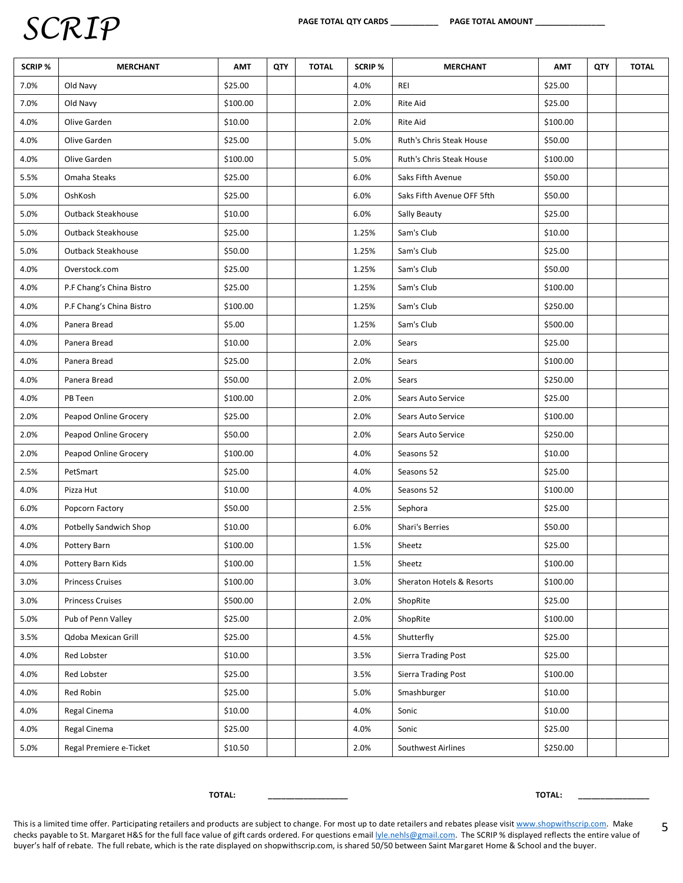| <b>SCRIP %</b> | <b>MERCHANT</b>          | <b>AMT</b> | QTY | <b>TOTAL</b> | <b>SCRIP %</b> | <b>MERCHANT</b>            | <b>AMT</b> | QTY | <b>TOTAL</b> |
|----------------|--------------------------|------------|-----|--------------|----------------|----------------------------|------------|-----|--------------|
| 7.0%           | Old Navy                 | \$25.00    |     |              | 4.0%           | REI                        | \$25.00    |     |              |
| 7.0%           | Old Navy                 | \$100.00   |     |              | 2.0%           | Rite Aid                   | \$25.00    |     |              |
| 4.0%           | Olive Garden             | \$10.00    |     |              | 2.0%           | Rite Aid                   | \$100.00   |     |              |
| 4.0%           | Olive Garden             | \$25.00    |     |              | 5.0%           | Ruth's Chris Steak House   | \$50.00    |     |              |
| 4.0%           | Olive Garden             | \$100.00   |     |              | 5.0%           | Ruth's Chris Steak House   | \$100.00   |     |              |
| 5.5%           | Omaha Steaks             | \$25.00    |     |              | 6.0%           | Saks Fifth Avenue          | \$50.00    |     |              |
| 5.0%           | OshKosh                  | \$25.00    |     |              | 6.0%           | Saks Fifth Avenue OFF 5fth | \$50.00    |     |              |
| 5.0%           | Outback Steakhouse       | \$10.00    |     |              | 6.0%           | Sally Beauty               | \$25.00    |     |              |
| 5.0%           | Outback Steakhouse       | \$25.00    |     |              | 1.25%          | Sam's Club                 | \$10.00    |     |              |
| 5.0%           | Outback Steakhouse       | \$50.00    |     |              | 1.25%          | Sam's Club                 | \$25.00    |     |              |
| 4.0%           | Overstock.com            | \$25.00    |     |              | 1.25%          | Sam's Club                 | \$50.00    |     |              |
| 4.0%           | P.F Chang's China Bistro | \$25.00    |     |              | 1.25%          | Sam's Club                 | \$100.00   |     |              |
| 4.0%           | P.F Chang's China Bistro | \$100.00   |     |              | 1.25%          | Sam's Club                 | \$250.00   |     |              |
| 4.0%           | Panera Bread             | \$5.00     |     |              | 1.25%          | Sam's Club                 | \$500.00   |     |              |
| 4.0%           | Panera Bread             | \$10.00    |     |              | 2.0%           | Sears                      | \$25.00    |     |              |
| 4.0%           | Panera Bread             | \$25.00    |     |              | 2.0%           | Sears                      | \$100.00   |     |              |
| 4.0%           | Panera Bread             | \$50.00    |     |              | 2.0%           | Sears                      | \$250.00   |     |              |
| 4.0%           | PB Teen                  | \$100.00   |     |              | 2.0%           | Sears Auto Service         | \$25.00    |     |              |
| 2.0%           | Peapod Online Grocery    | \$25.00    |     |              | 2.0%           | Sears Auto Service         | \$100.00   |     |              |
| 2.0%           | Peapod Online Grocery    | \$50.00    |     |              | 2.0%           | Sears Auto Service         | \$250.00   |     |              |
| 2.0%           | Peapod Online Grocery    | \$100.00   |     |              | 4.0%           | Seasons 52                 | \$10.00    |     |              |
| 2.5%           | PetSmart                 | \$25.00    |     |              | 4.0%           | Seasons 52                 | \$25.00    |     |              |
| 4.0%           | Pizza Hut                | \$10.00    |     |              | 4.0%           | Seasons 52                 | \$100.00   |     |              |
| 6.0%           | Popcorn Factory          | \$50.00    |     |              | 2.5%           | Sephora                    | \$25.00    |     |              |
| 4.0%           | Potbelly Sandwich Shop   | \$10.00    |     |              | 6.0%           | Shari's Berries            | \$50.00    |     |              |
| 4.0%           | Pottery Barn             | \$100.00   |     |              | 1.5%           | Sheetz                     | \$25.00    |     |              |
| 4.0%           | Pottery Barn Kids        | \$100.00   |     |              | 1.5%           | Sheetz                     | \$100.00   |     |              |
| 3.0%           | <b>Princess Cruises</b>  | \$100.00   |     |              | 3.0%           | Sheraton Hotels & Resorts  | \$100.00   |     |              |
| 3.0%           | <b>Princess Cruises</b>  | \$500.00   |     |              | 2.0%           | ShopRite                   | \$25.00    |     |              |
| 5.0%           | Pub of Penn Valley       | \$25.00    |     |              | 2.0%           | ShopRite                   | \$100.00   |     |              |
| 3.5%           | Qdoba Mexican Grill      | \$25.00    |     |              | 4.5%           | Shutterfly                 | \$25.00    |     |              |
| 4.0%           | Red Lobster              | \$10.00    |     |              | 3.5%           | <b>Sierra Trading Post</b> | \$25.00    |     |              |
| 4.0%           | Red Lobster              | \$25.00    |     |              | 3.5%           | Sierra Trading Post        | \$100.00   |     |              |
| 4.0%           | Red Robin                | \$25.00    |     |              | 5.0%           | Smashburger                | \$10.00    |     |              |
| 4.0%           | Regal Cinema             | \$10.00    |     |              | 4.0%           | Sonic                      | \$10.00    |     |              |
| 4.0%           | Regal Cinema             | \$25.00    |     |              | 4.0%           | Sonic                      | \$25.00    |     |              |
| 5.0%           | Regal Premiere e-Ticket  | \$10.50    |     |              | 2.0%           | Southwest Airlines         | \$250.00   |     |              |

 **TOTAL: \_\_\_\_\_\_\_\_\_\_\_\_\_\_\_\_\_\_ TOTAL: \_\_\_\_\_\_\_\_\_\_\_\_\_\_\_\_**

5